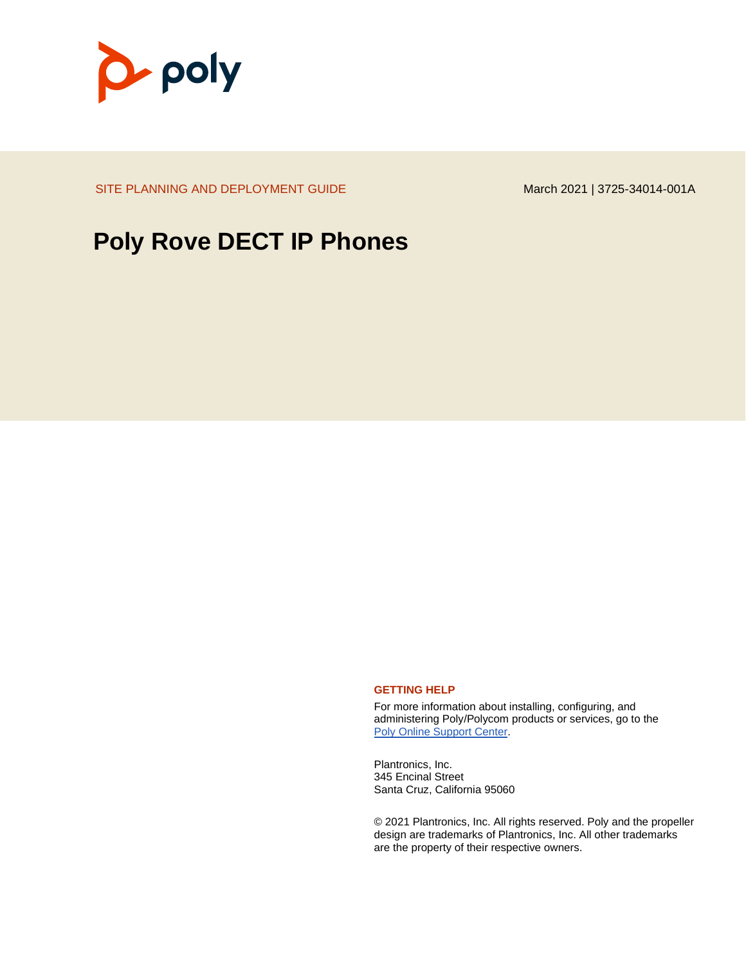

SITE PLANNING AND DEPLOYMENT GUIDE March 2021 | 3725-34014-001A

## **Poly Rove DECT IP Phones**

#### **GETTING HELP**

For more information about installing, configuring, and administering Poly/Polycom products or services, go to the [Poly Online Support Center.](https://support.polycom.com/)

Plantronics, Inc. 345 Encinal Street Santa Cruz, California 95060

© 2021 Plantronics, Inc. All rights reserved. Poly and the propeller design are trademarks of Plantronics, Inc. All other trademarks are the property of their respective owners.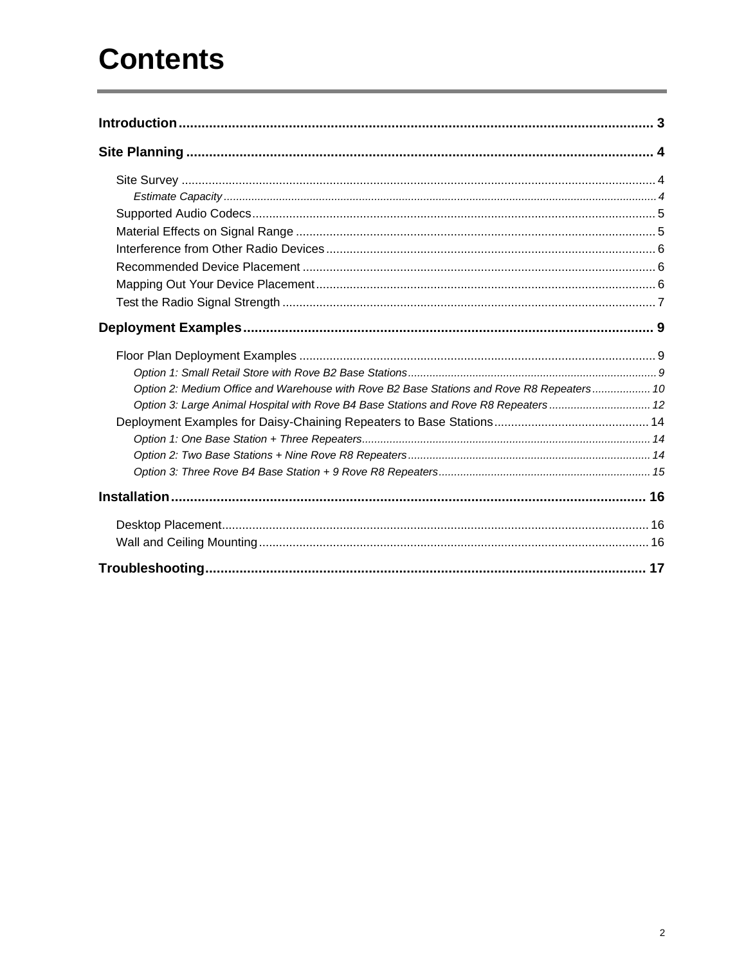# **Contents**

| Option 2: Medium Office and Warehouse with Rove B2 Base Stations and Rove R8 Repeaters 10 |  |
|-------------------------------------------------------------------------------------------|--|
| Option 3: Large Animal Hospital with Rove B4 Base Stations and Rove R8 Repeaters 12       |  |
|                                                                                           |  |
|                                                                                           |  |
|                                                                                           |  |
|                                                                                           |  |
|                                                                                           |  |
|                                                                                           |  |
|                                                                                           |  |
|                                                                                           |  |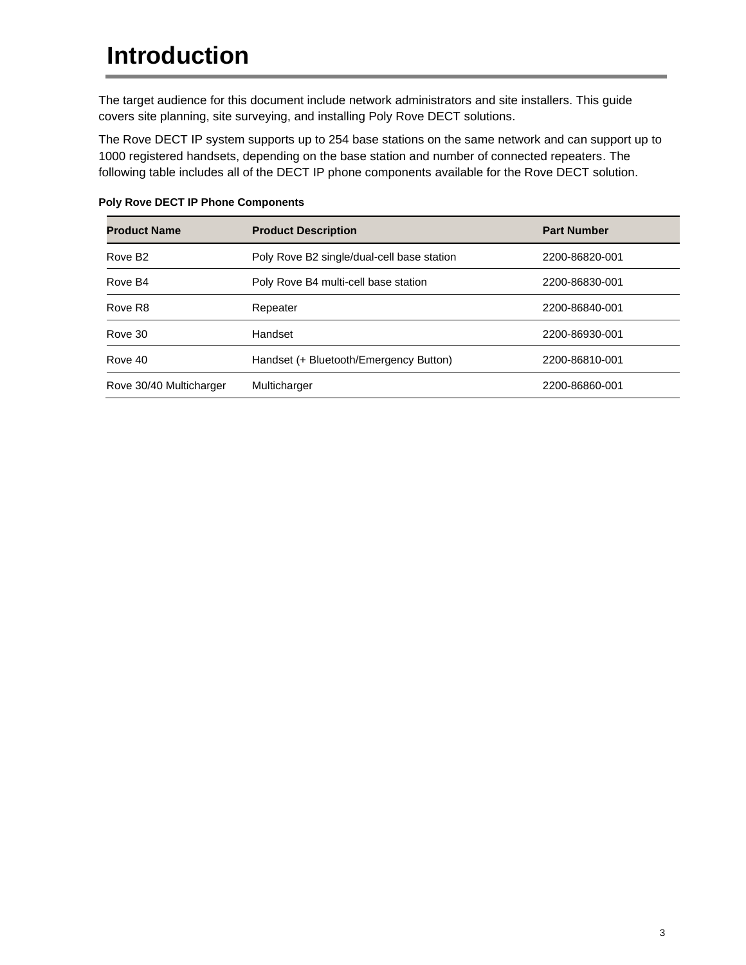# <span id="page-2-0"></span>**Introduction**

The target audience for this document include network administrators and site installers. This guide covers site planning, site surveying, and installing Poly Rove DECT solutions.

The Rove DECT IP system supports up to 254 base stations on the same network and can support up to 1000 registered handsets, depending on the base station and number of connected repeaters. The following table includes all of the DECT IP phone components available for the Rove DECT solution.

| <b>Product Name</b>     | <b>Product Description</b>                 | <b>Part Number</b> |
|-------------------------|--------------------------------------------|--------------------|
| Rove B <sub>2</sub>     | Poly Rove B2 single/dual-cell base station | 2200-86820-001     |
| Rove B4                 | Poly Rove B4 multi-cell base station       | 2200-86830-001     |
| Rove R <sub>8</sub>     | Repeater                                   | 2200-86840-001     |
| Rove 30                 | Handset                                    | 2200-86930-001     |
| Rove 40                 | Handset (+ Bluetooth/Emergency Button)     | 2200-86810-001     |
| Rove 30/40 Multicharger | Multicharger                               | 2200-86860-001     |

#### **Poly Rove DECT IP Phone Components**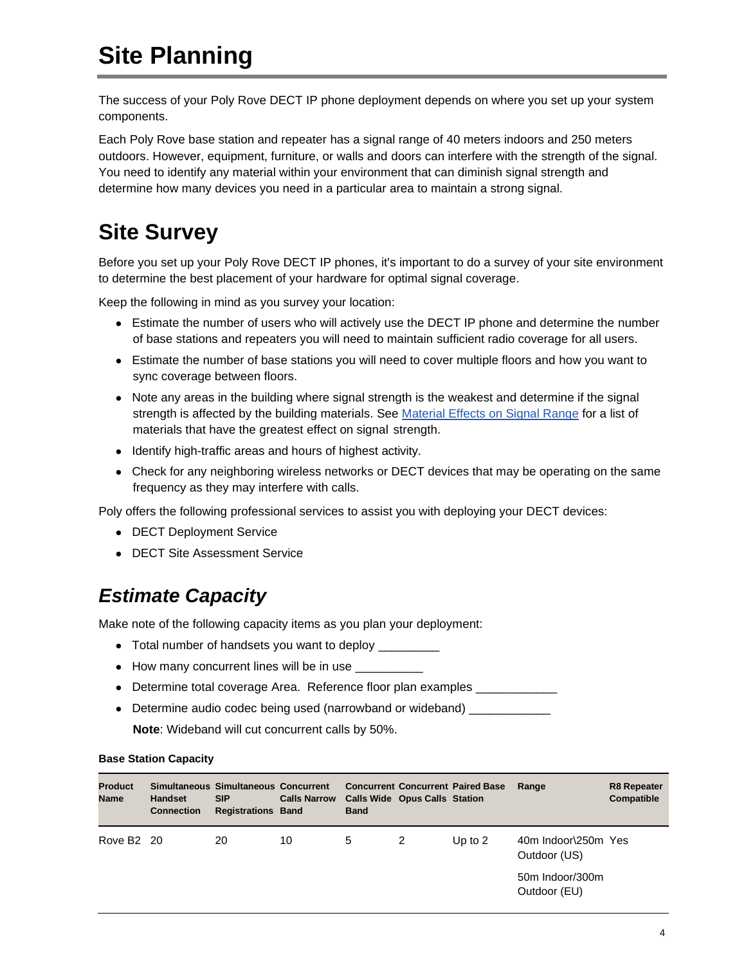# <span id="page-3-0"></span>**Site Planning**

The success of your Poly Rove DECT IP phone deployment depends on where you set up your system components.

Each Poly Rove base station and repeater has a signal range of 40 meters indoors and 250 meters outdoors. However, equipment, furniture, or walls and doors can interfere with the strength of the signal. You need to identify any material within your environment that can diminish signal strength and determine how many devices you need in a particular area to maintain a strong signal.

## <span id="page-3-1"></span>**Site Survey**

Before you set up your Poly Rove DECT IP phones, it's important to do a survey of your site environment to determine the best placement of your hardware for optimal signal coverage.

Keep the following in mind as you survey your location:

- Estimate the number of users who will actively use the DECT IP phone and determine the number of base stations and repeaters you will need to maintain sufficient radio coverage for all users.
- Estimate the number of base stations you will need to cover multiple floors and how you want to sync coverage between floors.
- Note any areas in the building where signal strength is the weakest and determine if the signal strength is affected by the building materials. See Material Effects [on Signal Range](#page-4-1) for a list of materials that have the greatest effect on signal strength.
- Identify high-traffic areas and hours of highest activity.
- Check for any neighboring wireless networks or DECT devices that may be operating on the same frequency as they may interfere with calls.

Poly offers the following professional services to assist you with deploying your DECT devices:

- DECT Deployment Service
- DECT Site Assessment Service

### <span id="page-3-2"></span>*Estimate Capacity*

Make note of the following capacity items as you plan your deployment:

- Total number of handsets you want to deploy
- How many concurrent lines will be in use  $\frac{1}{\sqrt{1-\frac{1}{n}}}\$
- Determine total coverage Area. Reference floor plan examples \_\_\_\_\_\_\_\_\_\_\_\_\_\_\_\_\_
- Determine audio codec being used (narrowband or wideband) \_\_\_\_\_\_\_\_\_\_\_

**Note**: Wideband will cut concurrent calls by 50%.

| <b>Base Station Capacity</b> |  |
|------------------------------|--|
|------------------------------|--|

| <b>Product</b><br><b>Name</b> | <b>Handset</b><br><b>Connection</b> | Simultaneous Simultaneous Concurrent<br><b>SIP</b><br><b>Registrations Band</b> | <b>Calls Narrow</b> | <b>Band</b> | <b>Calls Wide Opus Calls Station</b> | <b>Concurrent Concurrent Paired Base</b> | Range                               | <b>R8 Repeater</b><br>Compatible |
|-------------------------------|-------------------------------------|---------------------------------------------------------------------------------|---------------------|-------------|--------------------------------------|------------------------------------------|-------------------------------------|----------------------------------|
| Rove B <sub>2</sub> 20        |                                     | 20                                                                              | 10                  | 5           | 2                                    | Up to $2$                                | 40m Indoor\250m Yes<br>Outdoor (US) |                                  |
|                               |                                     |                                                                                 |                     |             |                                      |                                          | 50m Indoor/300m<br>Outdoor (EU)     |                                  |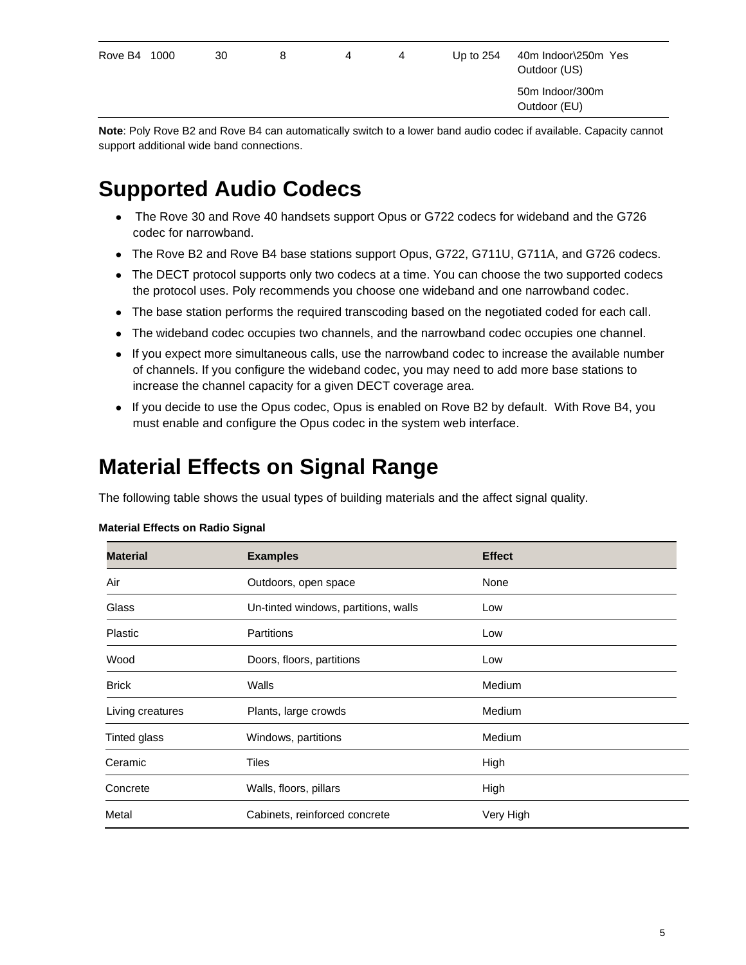| Rove B4 1000 | 30 | 8 | 4 | 4 | Up to $254$ | 40m Indoor\250m Yes<br>Outdoor (US) |
|--------------|----|---|---|---|-------------|-------------------------------------|
|              |    |   |   |   |             | 50m Indoor/300m<br>Outdoor (EU)     |
|              |    |   |   |   |             |                                     |

**Note**: Poly Rove B2 and Rove B4 can automatically switch to a lower band audio codec if available. Capacity cannot support additional wide band connections.

## <span id="page-4-0"></span>**Supported Audio Codecs**

- The Rove 30 and Rove 40 handsets support Opus or G722 codecs for wideband and the G726 codec for narrowband.
- The Rove B2 and Rove B4 base stations support Opus, G722, G711U, G711A, and G726 codecs.
- The DECT protocol supports only two codecs at a time. You can choose the two supported codecs the protocol uses. Poly recommends you choose one wideband and one narrowband codec.
- The base station performs the required transcoding based on the negotiated coded for each call.
- The wideband codec occupies two channels, and the narrowband codec occupies one channel.
- If you expect more simultaneous calls, use the narrowband codec to increase the available number of channels. If you configure the wideband codec, you may need to add more base stations to increase the channel capacity for a given DECT coverage area.
- If you decide to use the Opus codec, Opus is enabled on Rove B2 by default. With Rove B4, you must enable and configure the Opus codec in the system web interface.

### <span id="page-4-1"></span>**Material Effects on Signal Range**

The following table shows the usual types of building materials and the affect signal quality.

| <b>Material</b>     | <b>Examples</b>                      | <b>Effect</b> |
|---------------------|--------------------------------------|---------------|
| Air                 | Outdoors, open space                 | None          |
| Glass               | Un-tinted windows, partitions, walls | Low           |
| Plastic             | <b>Partitions</b>                    | Low           |
| Wood                | Doors, floors, partitions            | Low           |
| <b>Brick</b>        | Walls                                | Medium        |
| Living creatures    | Plants, large crowds                 | Medium        |
| <b>Tinted glass</b> | Windows, partitions                  | Medium        |
| Ceramic             | Tiles                                | High          |
| Concrete            | Walls, floors, pillars               | High          |
| Metal               | Cabinets, reinforced concrete        | Very High     |

#### **Material Effects on Radio Signal**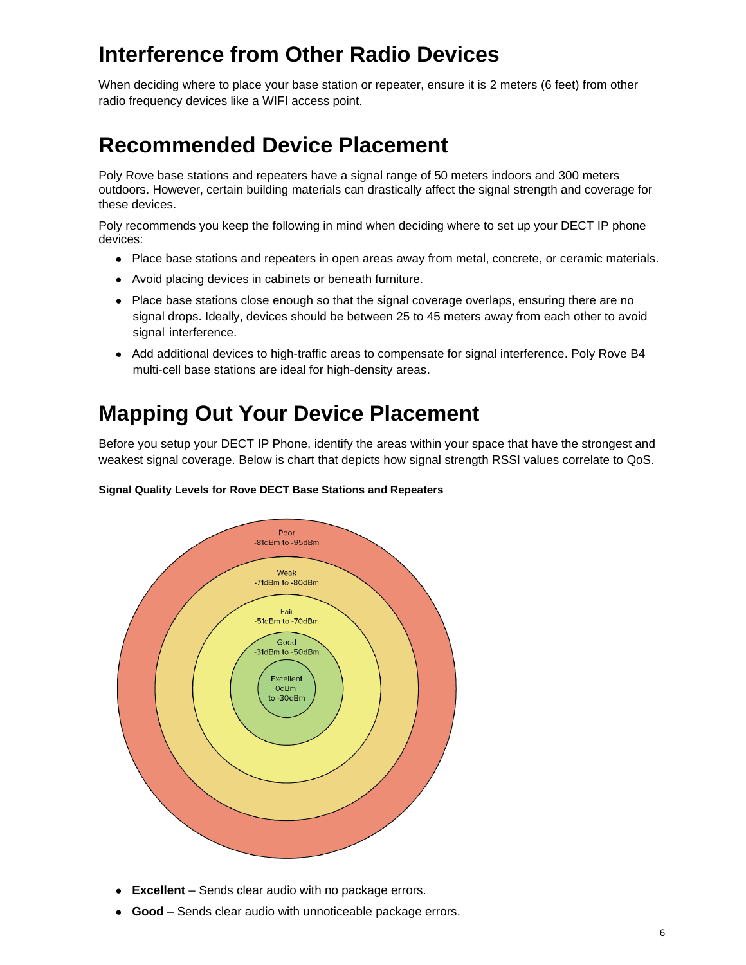## <span id="page-5-0"></span>**Interference from Other Radio Devices**

When deciding where to place your base station or repeater, ensure it is 2 meters (6 feet) from other radio frequency devices like a WIFI access point.

## <span id="page-5-1"></span>**Recommended Device Placement**

Poly Rove base stations and repeaters have a signal range of 50 meters indoors and 300 meters outdoors. However, certain building materials can drastically affect the signal strength and coverage for these devices.

Poly recommends you keep the following in mind when deciding where to set up your DECT IP phone devices:

- Place base stations and repeaters in open areas away from metal, concrete, or ceramic materials.
- Avoid placing devices in cabinets or beneath furniture.
- Place base stations close enough so that the signal coverage overlaps, ensuring there are no signal drops. Ideally, devices should be between 25 to 45 meters away from each other to avoid signal interference.
- Add additional devices to high-traffic areas to compensate for signal interference. Poly Rove B4 multi-cell base stations are ideal for high-density areas.

## <span id="page-5-2"></span>**Mapping Out Your Device Placement**

Before you setup your DECT IP Phone, identify the areas within your space that have the strongest and weakest signal coverage. Below is chart that depicts how signal strength RSSI values correlate to QoS.



### **Signal Quality Levels for Rove DECT Base Stations and Repeaters**

- **Excellent** Sends clear audio with no package errors.
- **Good** Sends clear audio with unnoticeable package errors.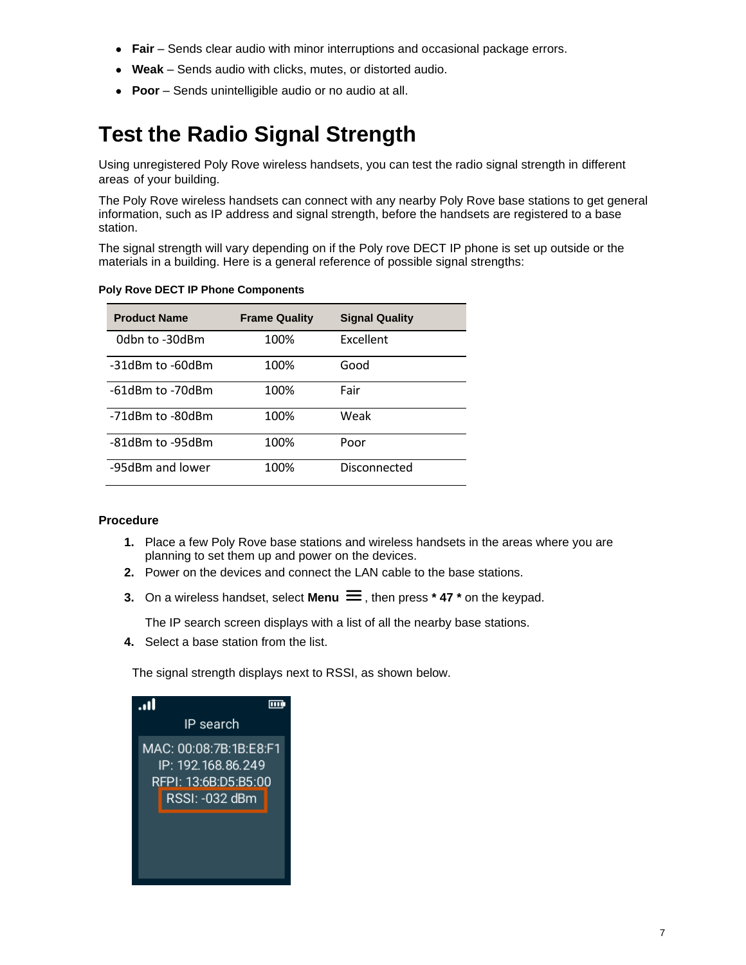- **Fair** Sends clear audio with minor interruptions and occasional package errors.
- **Weak** Sends audio with clicks, mutes, or distorted audio.
- **Poor** Sends unintelligible audio or no audio at all.

## <span id="page-6-0"></span>**Test the Radio Signal Strength**

Using unregistered Poly Rove wireless handsets, you can test the radio signal strength in different areas of your building.

The Poly Rove wireless handsets can connect with any nearby Poly Rove base stations to get general information, such as IP address and signal strength, before the handsets are registered to a base station.

The signal strength will vary depending on if the Poly rove DECT IP phone is set up outside or the materials in a building. Here is a general reference of possible signal strengths:

| <b>Product Name</b> | <b>Frame Quality</b> | <b>Signal Quality</b> |
|---------------------|----------------------|-----------------------|
| 0dbn to -30dBm      | 100%                 | Excellent             |
| -31dBm to -60dBm    | 100%                 | Good                  |
| -61dBm to -70dBm    | 100%                 | Fair                  |
| -71dBm to -80dBm    | 100%                 | Weak                  |
| -81dBm to -95dBm    | 100%                 | Poor                  |
| -95dBm and lower    | 100%                 | Disconnected          |

#### **Poly Rove DECT IP Phone Components**

#### **Procedure**

- **1.** Place a few Poly Rove base stations and wireless handsets in the areas where you are planning to set them up and power on the devices.
- **2.** Power on the devices and connect the LAN cable to the base stations.
- **3.** On a wireless handset, select **Menu**  $\equiv$ , then press  $*$  **47**  $*$  on the keypad.

The IP search screen displays with a list of all the nearby base stations.

**4.** Select a base station from the list.

The signal strength displays next to RSSI, as shown below.

| $\overline{\mathbf{u}}$ |                                                                                        |
|-------------------------|----------------------------------------------------------------------------------------|
|                         | IP search                                                                              |
|                         | MAC: 00:08:7B:1B:E8:F1<br>IP: 192.168.86.249<br>RFPI: 13:6B:D5:B5:00<br>RSSI: -032 dBm |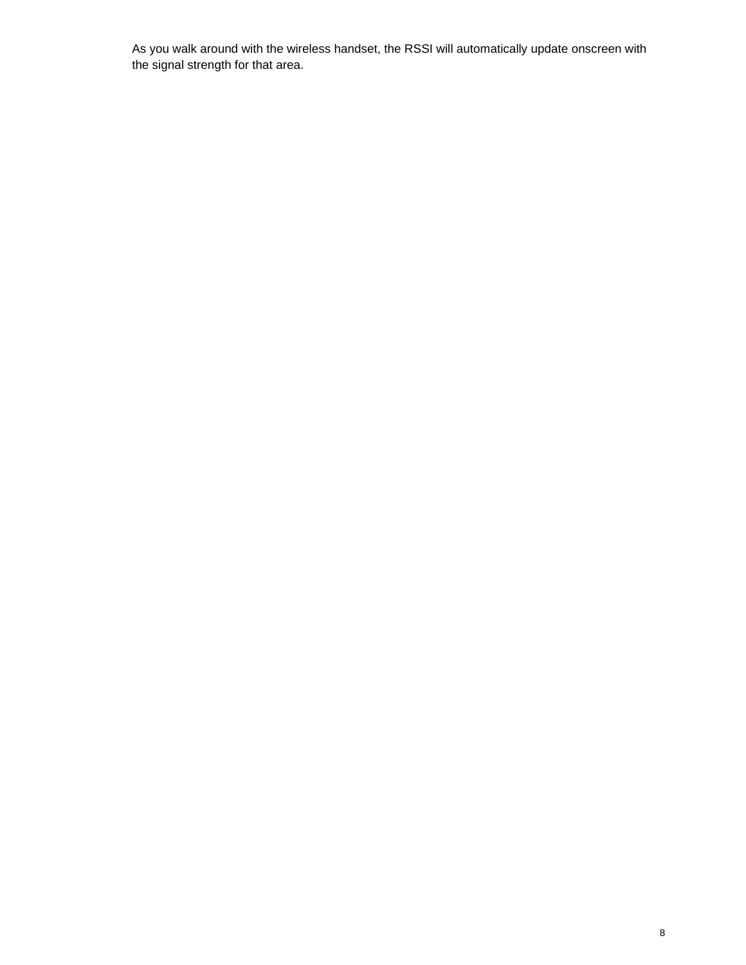As you walk around with the wireless handset, the RSSI will automatically update onscreen with the signal strength for that area.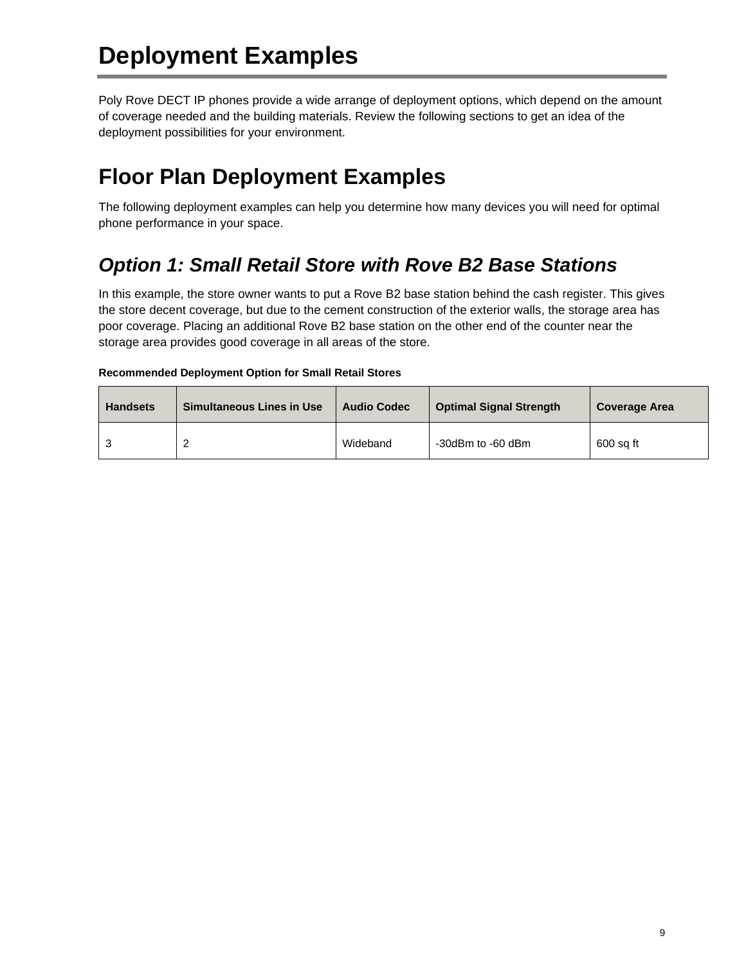# <span id="page-8-0"></span>**Deployment Examples**

Poly Rove DECT IP phones provide a wide arrange of deployment options, which depend on the amount of coverage needed and the building materials. Review the following sections to get an idea of the deployment possibilities for your environment.

## <span id="page-8-1"></span>**Floor Plan Deployment Examples**

The following deployment examples can help you determine how many devices you will need for optimal phone performance in your space.

### <span id="page-8-2"></span>*Option 1: Small Retail Store with Rove B2 Base Stations*

In this example, the store owner wants to put a Rove B2 base station behind the cash register. This gives the store decent coverage, but due to the cement construction of the exterior walls, the storage area has poor coverage. Placing an additional Rove B2 base station on the other end of the counter near the storage area provides good coverage in all areas of the store.

### **Recommended Deployment Option for Small Retail Stores**

| <b>Handsets</b> | <b>Simultaneous Lines in Use</b> | <b>Audio Codec</b> | <b>Optimal Signal Strength</b> | <b>Coverage Area</b> |
|-----------------|----------------------------------|--------------------|--------------------------------|----------------------|
|                 | $\sqrt{2}$<br>_                  | Wideband           | -30dBm to -60 dBm              | 600 sq ft            |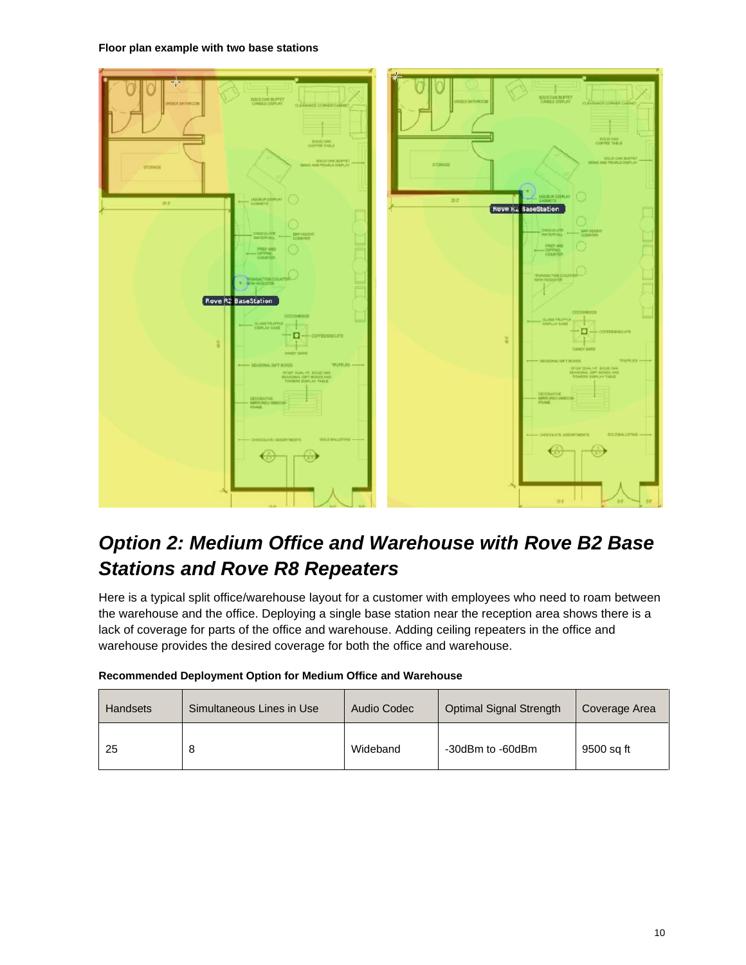**Floor plan example with two base stations**



### <span id="page-9-0"></span>*Option 2: Medium Office and Warehouse with Rove B2 Base Stations and Rove R8 Repeaters*

Here is a typical split office/warehouse layout for a customer with employees who need to roam between the warehouse and the office. Deploying a single base station near the reception area shows there is a lack of coverage for parts of the office and warehouse. Adding ceiling repeaters in the office and warehouse provides the desired coverage for both the office and warehouse.

| <b>Handsets</b> | Simultaneous Lines in Use | Audio Codec | Optimal Signal Strength | Coverage Area |
|-----------------|---------------------------|-------------|-------------------------|---------------|
| 25              | 8                         | Wideband    | -30dBm to -60dBm        | 9500 sq ft    |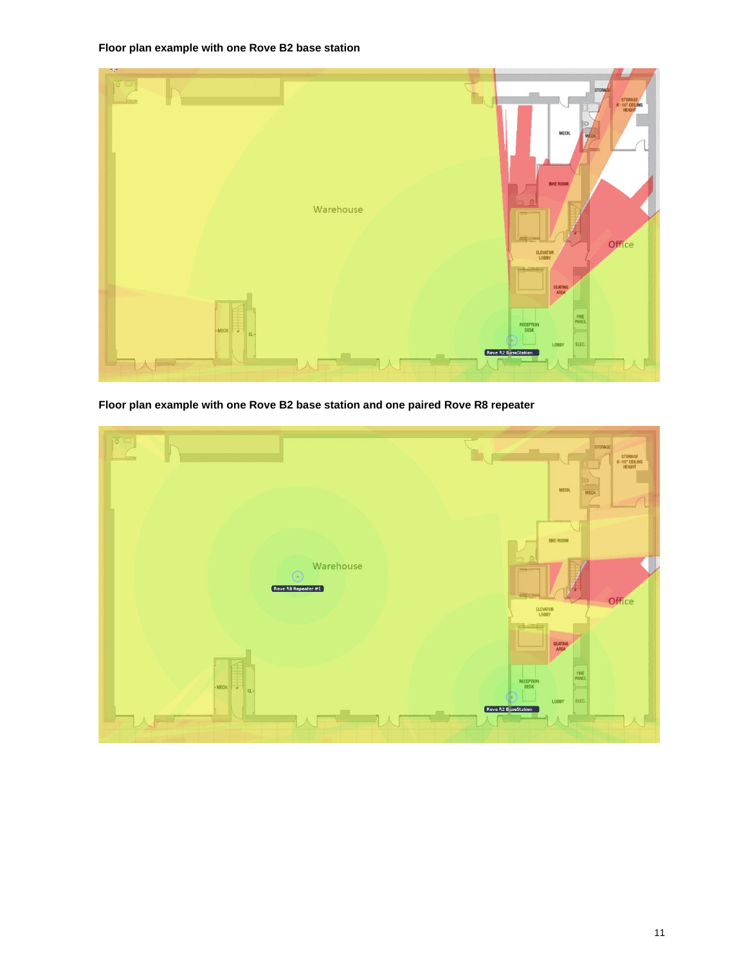**Floor plan example with one Rove B2 base station**



**Floor plan example with one Rove B2 base station and one paired Rove R8 repeater**

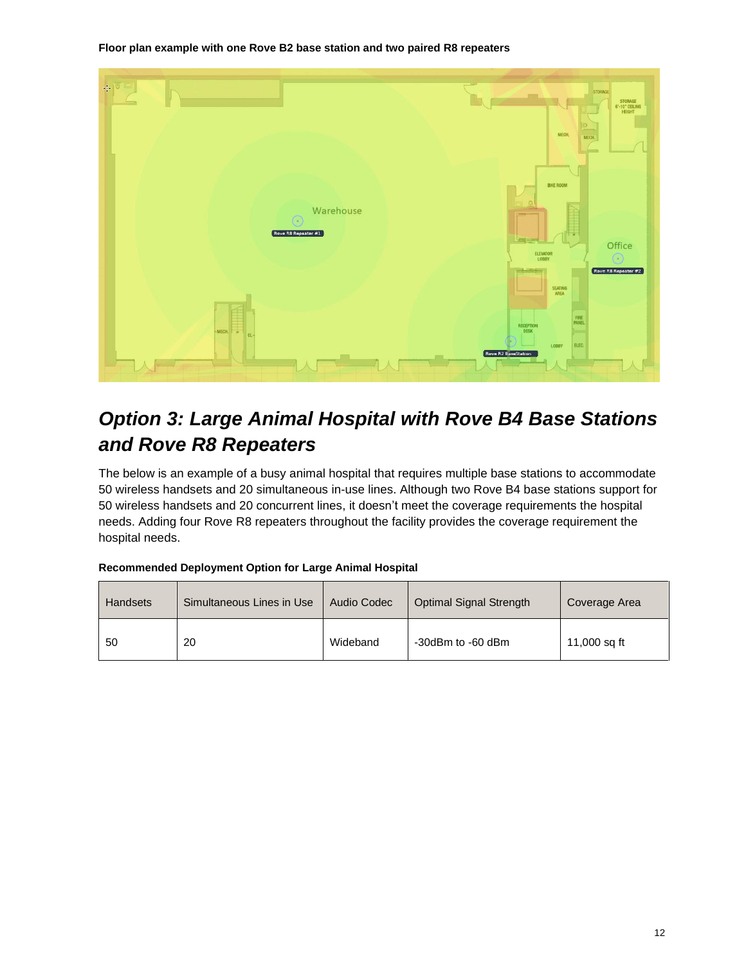**Floor plan example with one Rove B2 base station and two paired R8 repeaters** 



### <span id="page-11-0"></span>*Option 3: Large Animal Hospital with Rove B4 Base Stations and Rove R8 Repeaters*

The below is an example of a busy animal hospital that requires multiple base stations to accommodate 50 wireless handsets and 20 simultaneous in-use lines. Although two Rove B4 base stations support for 50 wireless handsets and 20 concurrent lines, it doesn't meet the coverage requirements the hospital needs. Adding four Rove R8 repeaters throughout the facility provides the coverage requirement the hospital needs.

### **Recommended Deployment Option for Large Animal Hospital**

| <b>Handsets</b> | Simultaneous Lines in Use | Audio Codec | Optimal Signal Strength | Coverage Area |
|-----------------|---------------------------|-------------|-------------------------|---------------|
| 50              | 20                        | Wideband    | -30dBm to -60 dBm       | 11,000 sq ft  |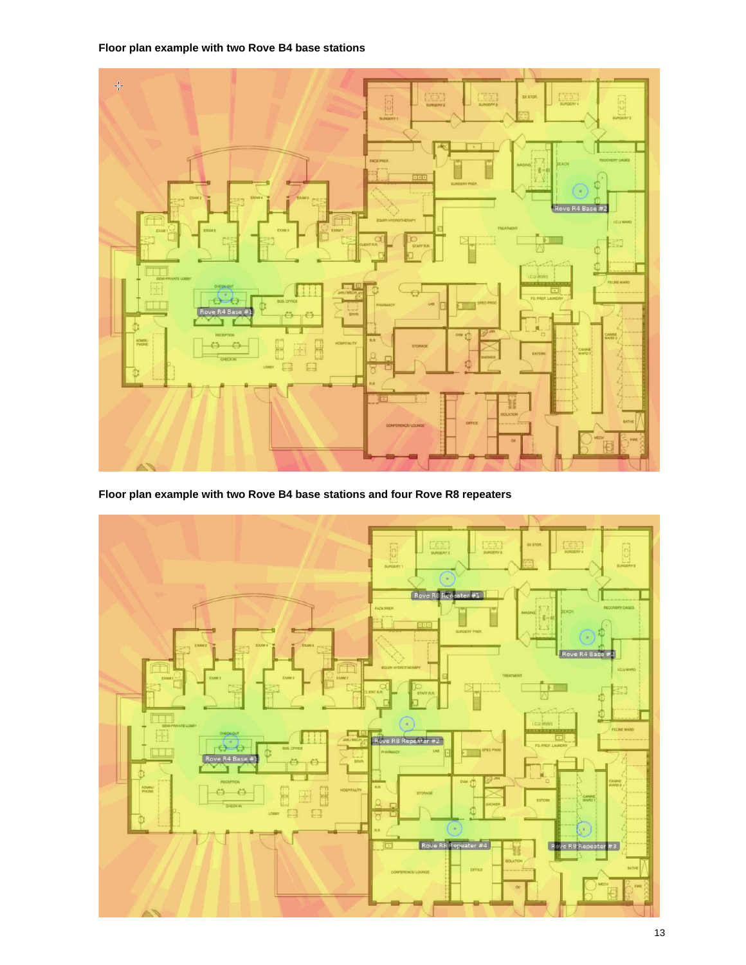**Floor plan example with two Rove B4 base stations**



**Floor plan example with two Rove B4 base stations and four Rove R8 repeaters**

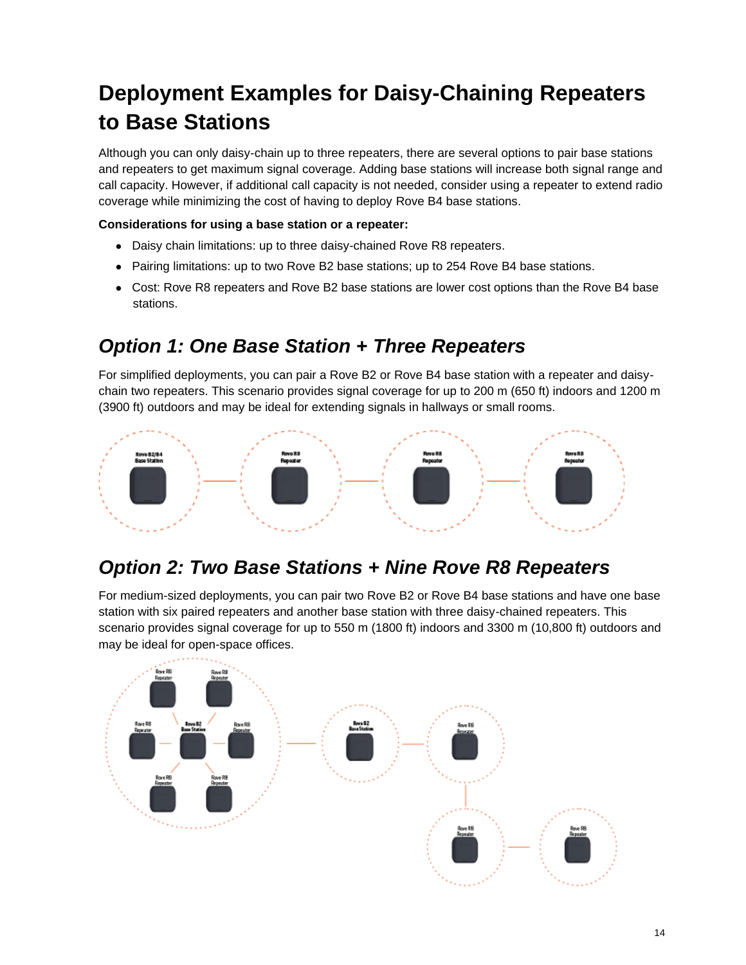## <span id="page-13-0"></span>**Deployment Examples for Daisy-Chaining Repeaters to Base Stations**

Although you can only daisy-chain up to three repeaters, there are several options to pair base stations and repeaters to get maximum signal coverage. Adding base stations will increase both signal range and call capacity. However, if additional call capacity is not needed, consider using a repeater to extend radio coverage while minimizing the cost of having to deploy Rove B4 base stations.

### **Considerations for using a base station or a repeater:**

- Daisy chain limitations: up to three daisy-chained Rove R8 repeaters.
- Pairing limitations: up to two Rove B2 base stations; up to 254 Rove B4 base stations.
- Cost: Rove R8 repeaters and Rove B2 base stations are lower cost options than the Rove B4 base stations.

### <span id="page-13-1"></span>*Option 1: One Base Station + Three Repeaters*

For simplified deployments, you can pair a Rove B2 or Rove B4 base station with a repeater and daisychain two repeaters. This scenario provides signal coverage for up to 200 m (650 ft) indoors and 1200 m (3900 ft) outdoors and may be ideal for extending signals in hallways or small rooms.



### <span id="page-13-2"></span>*Option 2: Two Base Stations + Nine Rove R8 Repeaters*

For medium-sized deployments, you can pair two Rove B2 or Rove B4 base stations and have one base station with six paired repeaters and another base station with three daisy-chained repeaters. This scenario provides signal coverage for up to 550 m (1800 ft) indoors and 3300 m (10,800 ft) outdoors and may be ideal for open-space offices.

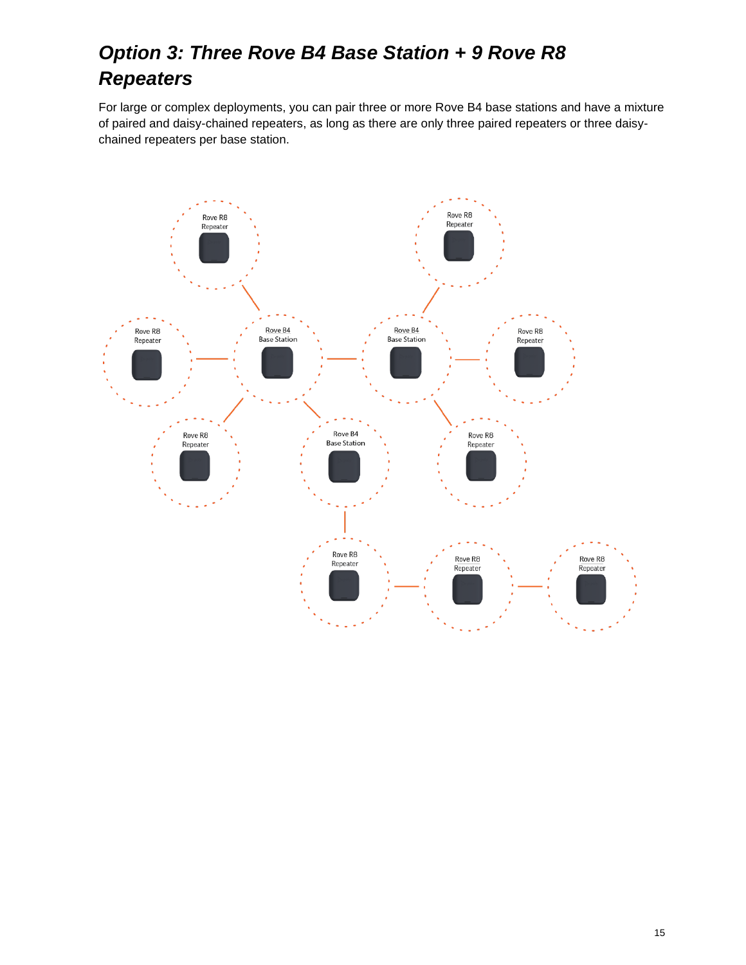## <span id="page-14-0"></span>*Option 3: Three Rove B4 Base Station + 9 Rove R8 Repeaters*

For large or complex deployments, you can pair three or more Rove B4 base stations and have a mixture of paired and daisy-chained repeaters, as long as there are only three paired repeaters or three daisychained repeaters per base station.

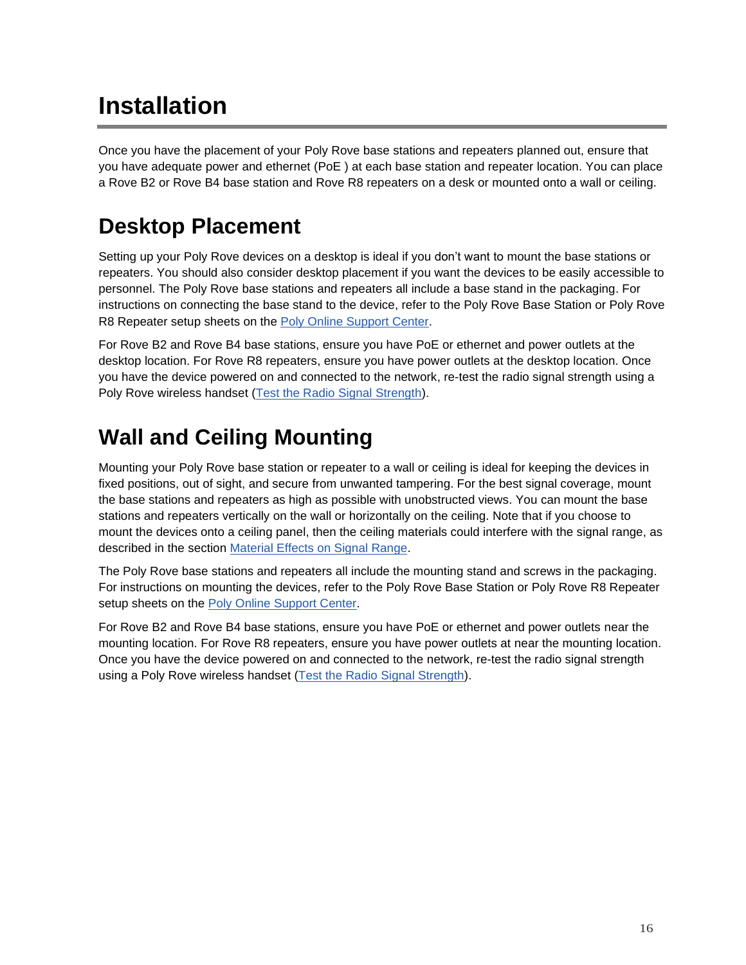# <span id="page-15-0"></span>**Installation**

Once you have the placement of your Poly Rove base stations and repeaters planned out, ensure that you have adequate power and ethernet (PoE ) at each base station and repeater location. You can place a Rove B2 or Rove B4 base station and Rove R8 repeaters on a desk or mounted onto a wall or ceiling.

## <span id="page-15-1"></span>**Desktop Placement**

Setting up your Poly Rove devices on a desktop is ideal if you don't want to mount the base stations or repeaters. You should also consider desktop placement if you want the devices to be easily accessible to personnel. The Poly Rove base stations and repeaters all include a base stand in the packaging. For instructions on connecting the base stand to the device, refer to the Poly Rove Base Station or Poly Rove R8 Repeater setup sheets on the [Poly Online Support Center.](https://support.polycom.com/content/support/north-america/usa/en/support/voice.html)

For Rove B2 and Rove B4 base stations, ensure you have PoE or ethernet and power outlets at the desktop location. For Rove R8 repeaters, ensure you have power outlets at the desktop location. Once you have the device powered on and connected to the network, re-test the radio signal strength using a Poly Rove wireless handset [\(Test the Radio Signal Strength\)](#page-6-0).

## <span id="page-15-2"></span>**Wall and Ceiling Mounting**

Mounting your Poly Rove base station or repeater to a wall or ceiling is ideal for keeping the devices in fixed positions, out of sight, and secure from unwanted tampering. For the best signal coverage, mount the base stations and repeaters as high as possible with unobstructed views. You can mount the base stations and repeaters vertically on the wall or horizontally on the ceiling. Note that if you choose to mount the devices onto a ceiling panel, then the ceiling materials could interfere with the signal range, as described in the section [Material Effects on Signal Range.](#page-4-1)

The Poly Rove base stations and repeaters all include the mounting stand and screws in the packaging. For instructions on mounting the devices, refer to the Poly Rove Base Station or Poly Rove R8 Repeater setup sheets on the [Poly Online Support Center.](https://support.polycom.com/content/support/north-america/usa/en/support/voice.html)

For Rove B2 and Rove B4 base stations, ensure you have PoE or ethernet and power outlets near the mounting location. For Rove R8 repeaters, ensure you have power outlets at near the mounting location. Once you have the device powered on and connected to the network, re-test the radio signal strength using a Poly Rove wireless handset [\(Test the Radio Signal Strength\)](#page-6-0).